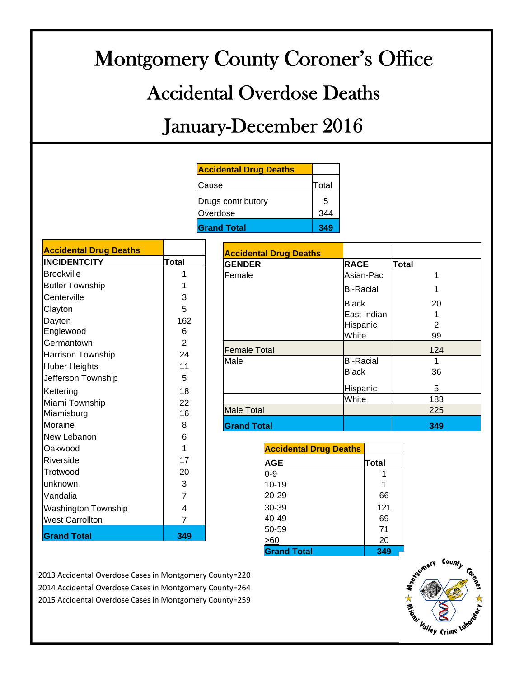# Montgomery County Coroner's Office Accidental Overdose Deaths January-December 2016

| <b>Accidental Drug Deaths</b> |       |
|-------------------------------|-------|
| Cause                         | Total |
| Drugs contributory            | 5     |
| Overdose                      | 344   |
| <b>Grand Total</b>            | 349   |

| <b>Accidental Drug Deaths</b> |                |
|-------------------------------|----------------|
| <b>INCIDENTCITY</b>           | Total          |
| <b>Brookville</b>             | 1              |
| <b>Butler Township</b>        | 1              |
| Centerville                   | 3              |
| Clayton                       | 5              |
| Dayton                        | 162            |
| Englewood                     | 6              |
| Germantown                    | 2              |
| Harrison Township             | 24             |
| <b>Huber Heights</b>          | 11             |
| Jefferson Township            | 5              |
| Kettering                     | 18             |
| Miami Township                | 22             |
| Miamisburg                    | 16             |
| Moraine                       | 8              |
| New Lebanon                   | 6              |
| Oakwood                       | $\mathbf 1$    |
| Riverside                     | 17             |
| Trotwood                      | 20             |
| unknown                       | 3              |
| Vandalia                      | $\overline{7}$ |
| <b>Washington Township</b>    | 4              |
| <b>West Carrollton</b>        | 7              |
| <b>Grand Total</b>            | 349            |

| <b>Accidental Drug Deaths</b> |                  |                |
|-------------------------------|------------------|----------------|
| <b>GENDER</b>                 | <b>RACE</b>      | <b>Total</b>   |
| Female                        | Asian-Pac        | 1              |
|                               | <b>Bi-Racial</b> |                |
|                               | <b>Black</b>     | 20             |
|                               | East Indian      |                |
|                               | Hispanic         | $\overline{2}$ |
|                               | White            | 99             |
| <b>Female Total</b>           |                  | 124            |
| Male                          | <b>Bi-Racial</b> | 1              |
|                               | <b>Black</b>     | 36             |
|                               | Hispanic         | 5              |
|                               | White            | 183            |
| <b>Male Total</b>             |                  | 225            |
| <b>Grand Total</b>            |                  | 349            |

| <b>Accidental Drug Deaths</b> |       |
|-------------------------------|-------|
| AGE                           | Total |
| 0-9                           |       |
| $10 - 19$                     |       |
| 20-29                         | 66    |
| 30-39                         | 121   |
| 40-49                         | 69    |
| 50-59                         | 71    |
|                               | 20    |
| <b>Grand Total</b>            | 349   |

2013 Accidental Overdose Cases in Montgomery County=220 2014 Accidental Overdose Cases in Montgomery County=264 2015 Accidental Overdose Cases in Montgomery County=259

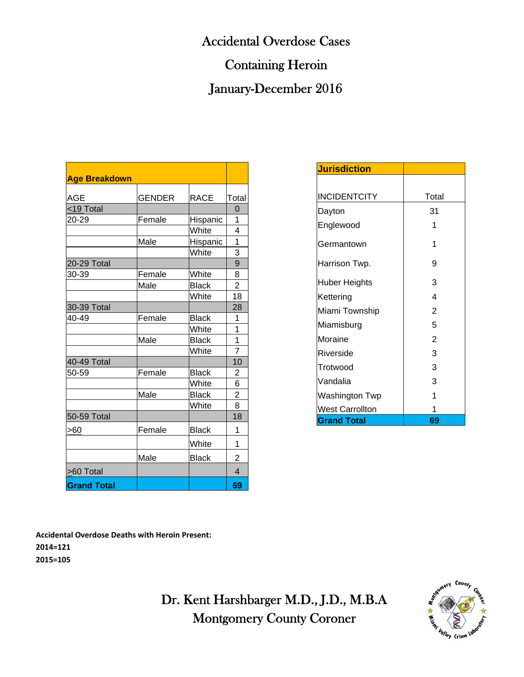# Accidental Overdose Cases

# Containing Heroin

# January-December 2016

| <b>Age Breakdown</b> |               |              |                |
|----------------------|---------------|--------------|----------------|
|                      |               |              |                |
| AGE                  | <b>GENDER</b> | <b>RACE</b>  | Total          |
| <19 Total            |               |              | 0              |
| 20-29                | Female        | Hispanic     | 1              |
|                      |               | White        | 4              |
|                      | Male          | Hispanic     | 1              |
|                      |               | White        | 3              |
| 20-29 Total          |               |              | 9              |
| 30-39                | Female        | White        | 8              |
|                      | Male          | <b>Black</b> | $\overline{2}$ |
|                      |               | White        | 18             |
| 30-39 Total          |               |              | 28             |
| 40-49                | Female        | <b>Black</b> | 1              |
|                      |               | White        | 1              |
|                      | Male          | <b>Black</b> | 1              |
|                      |               | White        | $\overline{7}$ |
| 40-49 Total          |               |              | 10             |
| 50-59                | Female        | <b>Black</b> | $\overline{c}$ |
|                      |               | White        | 6              |
|                      | Male          | <b>Black</b> | $\overline{2}$ |
|                      |               | White        | 8              |
| 50-59 Total          |               |              | 18             |
| >60                  | Female        | <b>Black</b> | 1              |
|                      |               | White        | 1              |
|                      | Male          | <b>Black</b> | 2              |
| >60 Total            |               |              | 4              |
| <b>Grand Total</b>   |               |              | 69             |

| <b>Jurisdiction</b>    |                |
|------------------------|----------------|
|                        |                |
| <b>INCIDENTCITY</b>    | Total          |
| Dayton                 | 31             |
| Englewood              |                |
| Germantown             |                |
| Harrison Twp.          | 9              |
| <b>Huber Heights</b>   | 3              |
| Kettering              | 4              |
| Miami Township         | $\overline{2}$ |
| Miamisburg             | 5              |
| Moraine                | 2              |
| Riverside              | 3              |
| Trotwood               | 3              |
| Vandalia               | 3              |
| Washington Twp         | 1              |
| <b>West Carrollton</b> |                |
| <b>Grand Total</b>     | 69             |

**Accidental Overdose Deaths with Heroin Present: 2014=121 2015=105**

> Dr. Kent Harshbarger M.D., J.D., M.B.A Montgomery County Coroner